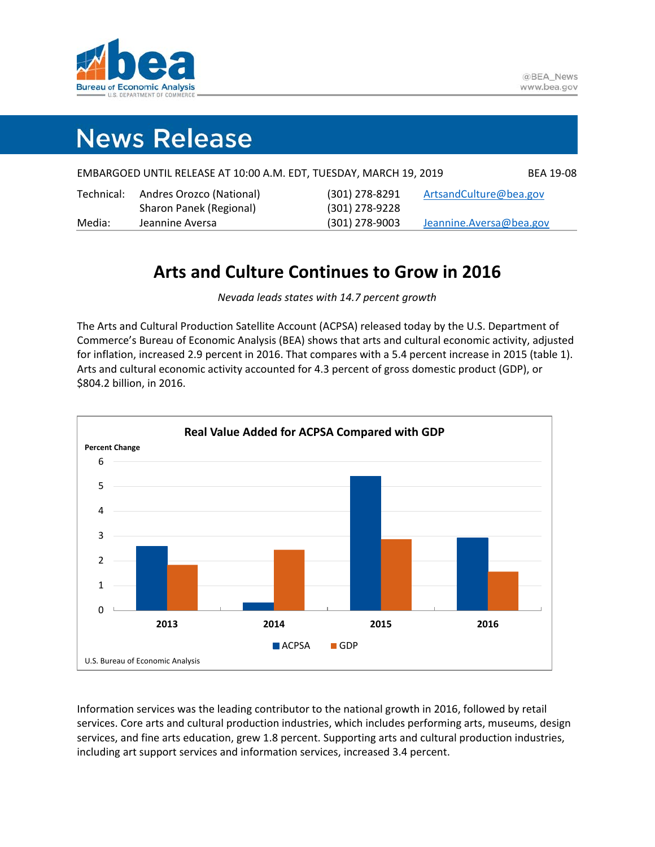

# **News Release**

| Media:     | Jeannine Aversa                                                    | (301) 278-9003 | Jeannine.Aversa@bea.gov |
|------------|--------------------------------------------------------------------|----------------|-------------------------|
|            | Sharon Panek (Regional)                                            | (301) 278-9228 |                         |
| Technical: | Andres Orozco (National)                                           | (301) 278-8291 | ArtsandCulture@bea.gov  |
|            | EMBARGOED UNTIL RELEASE AT 10:00 A.M. EDT, TUESDAY, MARCH 19, 2019 |                | <b>BEA 19-08</b>        |

### **Arts and Culture Continues to Grow in 2016**

*Nevada leads states with 14.7 percent growth*

The Arts and Cultural Production Satellite Account (ACPSA) released today by the U.S. Department of Commerce's Bureau of Economic Analysis (BEA) shows that arts and cultural economic activity, adjusted for inflation, increased 2.9 percent in 2016. That compares with a 5.4 percent increase in 2015 (table 1). Arts and cultural economic activity accounted for 4.3 percent of gross domestic product (GDP), or \$804.2 billion, in 2016.



Information services was the leading contributor to the national growth in 2016, followed by retail services. Core arts and cultural production industries, which includes performing arts, museums, design services, and fine arts education, grew 1.8 percent. Supporting arts and cultural production industries, including art support services and information services, increased 3.4 percent.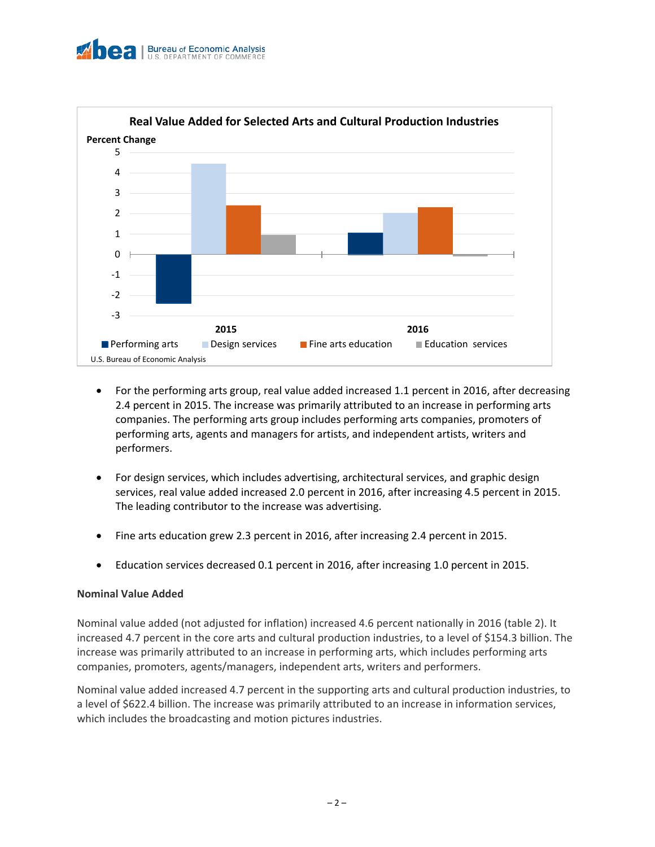



- For the performing arts group, real value added increased 1.1 percent in 2016, after decreasing 2.4 percent in 2015. The increase was primarily attributed to an increase in performing arts companies. The performing arts group includes performing arts companies, promoters of performing arts, agents and managers for artists, and independent artists, writers and performers.
- For design services, which includes advertising, architectural services, and graphic design services, real value added increased 2.0 percent in 2016, after increasing 4.5 percent in 2015. The leading contributor to the increase was advertising.
- Fine arts education grew 2.3 percent in 2016, after increasing 2.4 percent in 2015.
- Education services decreased 0.1 percent in 2016, after increasing 1.0 percent in 2015.

### **Nominal Value Added**

Nominal value added (not adjusted for inflation) increased 4.6 percent nationally in 2016 (table 2). It increased 4.7 percent in the core arts and cultural production industries, to a level of \$154.3 billion. The increase was primarily attributed to an increase in performing arts, which includes performing arts companies, promoters, agents/managers, independent arts, writers and performers.

Nominal value added increased 4.7 percent in the supporting arts and cultural production industries, to a level of \$622.4 billion. The increase was primarily attributed to an increase in information services, which includes the broadcasting and motion pictures industries.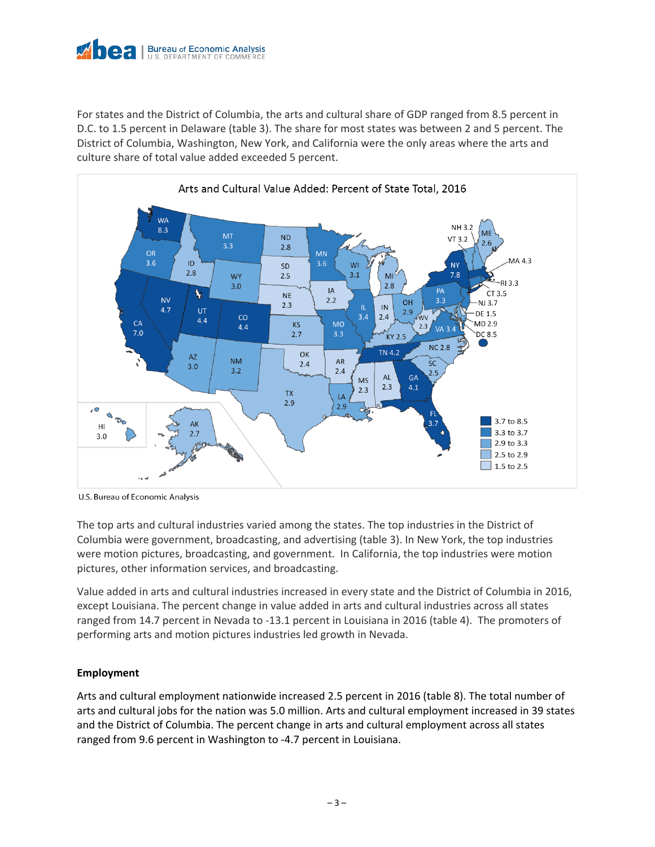

For states and the District of Columbia, the arts and cultural share of GDP ranged from 8.5 percent in D.C. to 1.5 percent in Delaware (table 3). The share for most states was between 2 and 5 percent. The District of Columbia, Washington, New York, and California were the only areas where the arts and culture share of total value added exceeded 5 percent.



U.S. Bureau of Economic Analysis

The top arts and cultural industries varied among the states. The top industries in the District of Columbia were government, broadcasting, and advertising (table 3). In New York, the top industries were motion pictures, broadcasting, and government. In California, the top industries were motion pictures, other information services, and broadcasting.

Value added in arts and cultural industries increased in every state and the District of Columbia in 2016, except Louisiana. The percent change in value added in arts and cultural industries across all states ranged from 14.7 percent in Nevada to -13.1 percent in Louisiana in 2016 (table 4). The promoters of performing arts and motion pictures industries led growth in Nevada.

### **Employment**

Arts and cultural employment nationwide increased 2.5 percent in 2016 (table 8). The total number of arts and cultural jobs for the nation was 5.0 million. Arts and cultural employment increased in 39 states and the District of Columbia. The percent change in arts and cultural employment across all states ranged from 9.6 percent in Washington to -4.7 percent in Louisiana.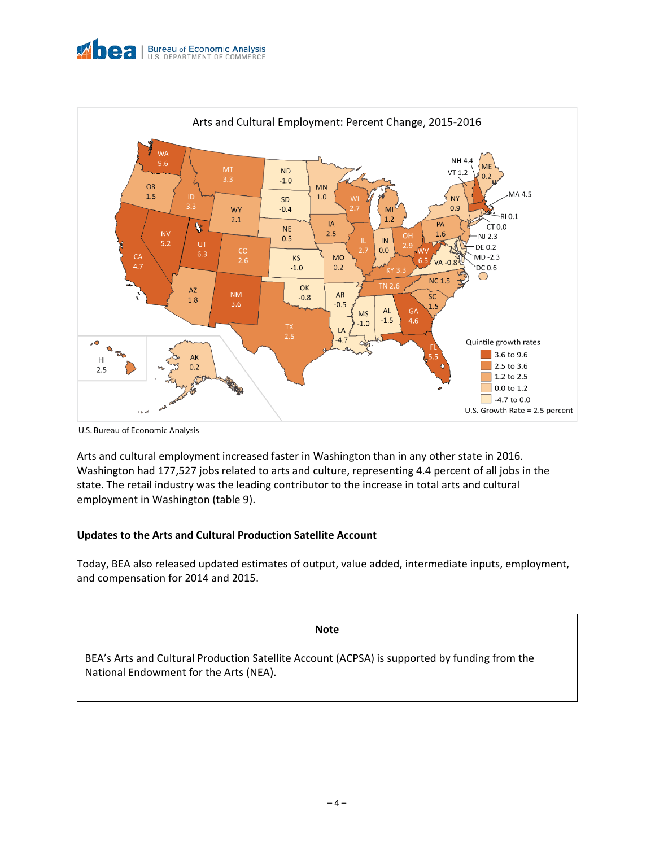



U.S. Bureau of Economic Analysis

Arts and cultural employment increased faster in Washington than in any other state in 2016. Washington had 177,527 jobs related to arts and culture, representing 4.4 percent of all jobs in the state. The retail industry was the leading contributor to the increase in total arts and cultural employment in Washington (table 9).

### **Updates to the Arts and Cultural Production Satellite Account**

Today, BEA also released updated estimates of output, value added, intermediate inputs, employment, and compensation for 2014 and 2015.

**Note** 

BEA's Arts and Cultural Production Satellite Account (ACPSA) is supported by funding from the National Endowment for the Arts (NEA).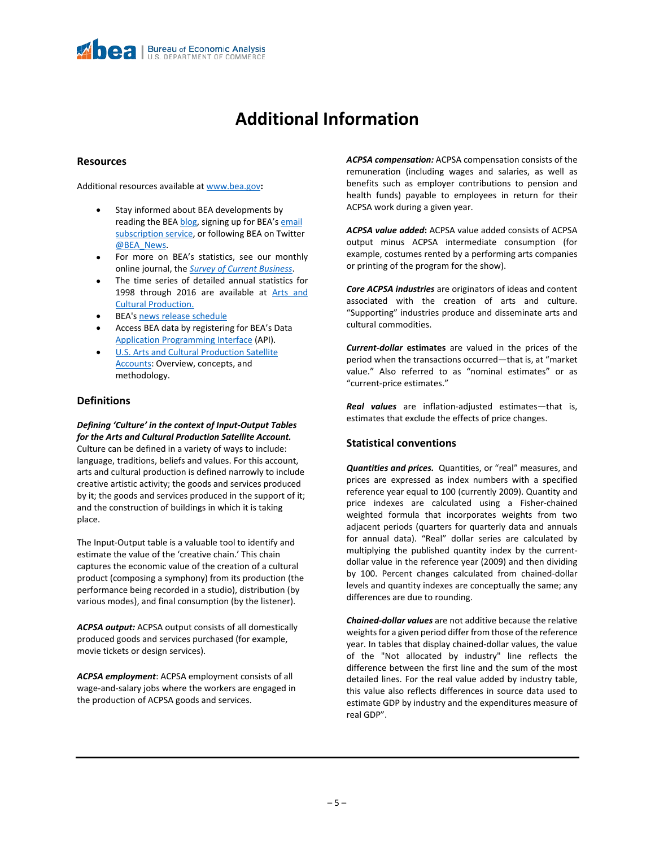## **Additional Information**

#### **Resources**

Additional resources available a[t www.bea.gov](http://www.bea.gov/)**:**

- Stay informed about BEA developments by reading the BE[A blog,](https://www.bea.gov/news/blog) signing up for BEA's email [subscription service,](https://www.bea.gov/_subscribe/) or following BEA on Twitter [@BEA\\_News.](https://twitter.com/bea_news)
- For more on BEA's statistics, see our monthly online journal, the *[Survey of Current Business](https://apps.bea.gov/scb/)*.
- The time series of detailed annual statistics for 1998 through 2016 are available at Arts and [Cultural Production.](https://www.bea.gov/data/special-topics/arts-and-culture)
- BEA'[s news release schedule](https://www.bea.gov/news/schedule)
- Access BEA data by registering for BEA's Data [Application Programming Interface](https://apps.bea.gov/API/signup/index.cfm) (API).
- **U.S. Arts and Cultural Production Satellite** [Accounts:](https://apps.bea.gov/scb/pdf/2015/01%20January/0115_arts_and_cultural_production_satellite_account.pdf) Overview, concepts, and methodology.

### **Definitions**

*Defining 'Culture' in the context of Input-Output Tables for the Arts and Cultural Production Satellite Account.* Culture can be defined in a variety of ways to include: language, traditions, beliefs and values. For this account, arts and cultural production is defined narrowly to include creative artistic activity; the goods and services produced by it; the goods and services produced in the support of it; and the construction of buildings in which it is taking place.

The Input-Output table is a valuable tool to identify and estimate the value of the 'creative chain.' This chain captures the economic value of the creation of a cultural product (composing a symphony) from its production (the performance being recorded in a studio), distribution (by various modes), and final consumption (by the listener).

*ACPSA output:* ACPSA output consists of all domestically produced goods and services purchased (for example, movie tickets or design services).

*ACPSA employment*: ACPSA employment consists of all wage-and-salary jobs where the workers are engaged in the production of ACPSA goods and services.

*ACPSA compensation:* ACPSA compensation consists of the remuneration (including wages and salaries, as well as benefits such as employer contributions to pension and health funds) payable to employees in return for their ACPSA work during a given year.

*ACPSA value added***:** ACPSA value added consists of ACPSA output minus ACPSA intermediate consumption (for example, costumes rented by a performing arts companies or printing of the program for the show).

*Core ACPSA industries* are originators of ideas and content associated with the creation of arts and culture. "Supporting" industries produce and disseminate arts and cultural commodities.

*Current-dollar* **estimates** are valued in the prices of the period when the transactions occurred—that is, at "market value." Also referred to as "nominal estimates" or as "current-price estimates."

*Real values* are inflation-adjusted estimates—that is, estimates that exclude the effects of price changes.

### **Statistical conventions**

*Quantities and prices.*Quantities, or "real" measures, and prices are expressed as index numbers with a specified reference year equal to 100 (currently 2009). Quantity and price indexes are calculated using a Fisher-chained weighted formula that incorporates weights from two adjacent periods (quarters for quarterly data and annuals for annual data). "Real" dollar series are calculated by multiplying the published quantity index by the currentdollar value in the reference year (2009) and then dividing by 100. Percent changes calculated from chained-dollar levels and quantity indexes are conceptually the same; any differences are due to rounding.

*Chained-dollar values* are not additive because the relative weights for a given period differ from those of the reference year. In tables that display chained-dollar values, the value of the "Not allocated by industry" line reflects the difference between the first line and the sum of the most detailed lines. For the real value added by industry table, this value also reflects differences in source data used to estimate GDP by industry and the expenditures measure of real GDP".